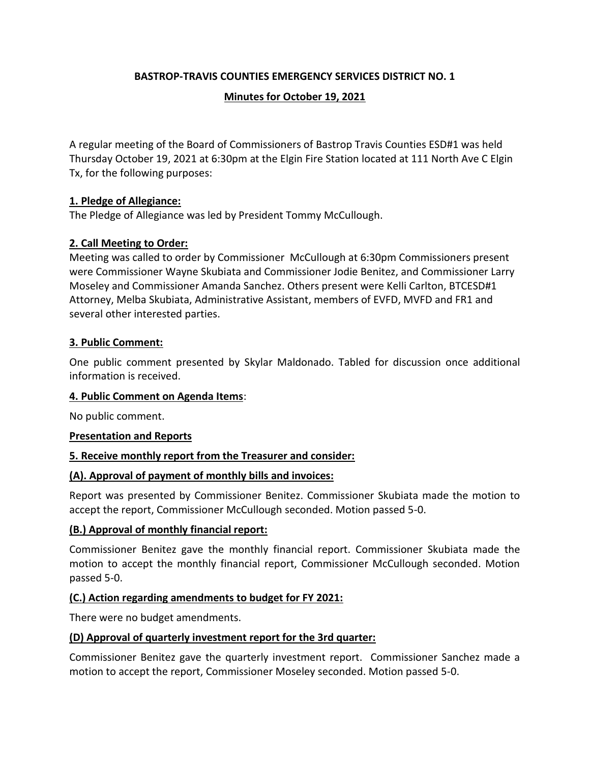### **BASTROP-TRAVIS COUNTIES EMERGENCY SERVICES DISTRICT NO. 1**

### **Minutes for October 19, 2021**

A regular meeting of the Board of Commissioners of Bastrop Travis Counties ESD#1 was held Thursday October 19, 2021 at 6:30pm at the Elgin Fire Station located at 111 North Ave C Elgin Tx, for the following purposes:

### **1. Pledge of Allegiance:**

The Pledge of Allegiance was led by President Tommy McCullough.

### **2. Call Meeting to Order:**

Meeting was called to order by Commissioner McCullough at 6:30pm Commissioners present were Commissioner Wayne Skubiata and Commissioner Jodie Benitez, and Commissioner Larry Moseley and Commissioner Amanda Sanchez. Others present were Kelli Carlton, BTCESD#1 Attorney, Melba Skubiata, Administrative Assistant, members of EVFD, MVFD and FR1 and several other interested parties.

#### **3. Public Comment:**

One public comment presented by Skylar Maldonado. Tabled for discussion once additional information is received.

#### **4. Public Comment on Agenda Items**:

No public comment.

#### **Presentation and Reports**

#### **5. Receive monthly report from the Treasurer and consider:**

#### **(A). Approval of payment of monthly bills and invoices:**

Report was presented by Commissioner Benitez. Commissioner Skubiata made the motion to accept the report, Commissioner McCullough seconded. Motion passed 5-0.

#### **(B.) Approval of monthly financial report:**

Commissioner Benitez gave the monthly financial report. Commissioner Skubiata made the motion to accept the monthly financial report, Commissioner McCullough seconded. Motion passed 5-0.

#### **(C.) Action regarding amendments to budget for FY 2021:**

There were no budget amendments.

#### **(D) Approval of quarterly investment report for the 3rd quarter:**

Commissioner Benitez gave the quarterly investment report. Commissioner Sanchez made a motion to accept the report, Commissioner Moseley seconded. Motion passed 5-0.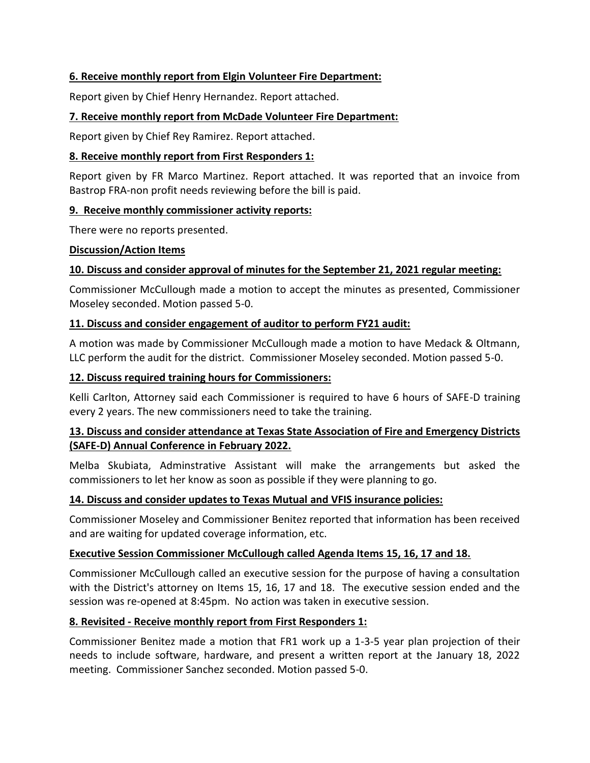### **6. Receive monthly report from Elgin Volunteer Fire Department:**

Report given by Chief Henry Hernandez. Report attached.

### **7. Receive monthly report from McDade Volunteer Fire Department:**

Report given by Chief Rey Ramirez. Report attached.

### **8. Receive monthly report from First Responders 1:**

Report given by FR Marco Martinez. Report attached. It was reported that an invoice from Bastrop FRA-non profit needs reviewing before the bill is paid.

### **9. Receive monthly commissioner activity reports:**

There were no reports presented.

### **Discussion/Action Items**

# **10. Discuss and consider approval of minutes for the September 21, 2021 regular meeting:**

Commissioner McCullough made a motion to accept the minutes as presented, Commissioner Moseley seconded. Motion passed 5-0.

# **11. Discuss and consider engagement of auditor to perform FY21 audit:**

A motion was made by Commissioner McCullough made a motion to have Medack & Oltmann, LLC perform the audit for the district. Commissioner Moseley seconded. Motion passed 5-0.

# **12. Discuss required training hours for Commissioners:**

Kelli Carlton, Attorney said each Commissioner is required to have 6 hours of SAFE-D training every 2 years. The new commissioners need to take the training.

# **13. Discuss and consider attendance at Texas State Association of Fire and Emergency Districts (SAFE-D) Annual Conference in February 2022.**

Melba Skubiata, Adminstrative Assistant will make the arrangements but asked the commissioners to let her know as soon as possible if they were planning to go.

### **14. Discuss and consider updates to Texas Mutual and VFIS insurance policies:**

Commissioner Moseley and Commissioner Benitez reported that information has been received and are waiting for updated coverage information, etc.

### **Executive Session Commissioner McCullough called Agenda Items 15, 16, 17 and 18.**

Commissioner McCullough called an executive session for the purpose of having a consultation with the District's attorney on Items 15, 16, 17 and 18. The executive session ended and the session was re-opened at 8:45pm. No action was taken in executive session.

### **8. Revisited - Receive monthly report from First Responders 1:**

Commissioner Benitez made a motion that FR1 work up a 1-3-5 year plan projection of their needs to include software, hardware, and present a written report at the January 18, 2022 meeting. Commissioner Sanchez seconded. Motion passed 5-0.